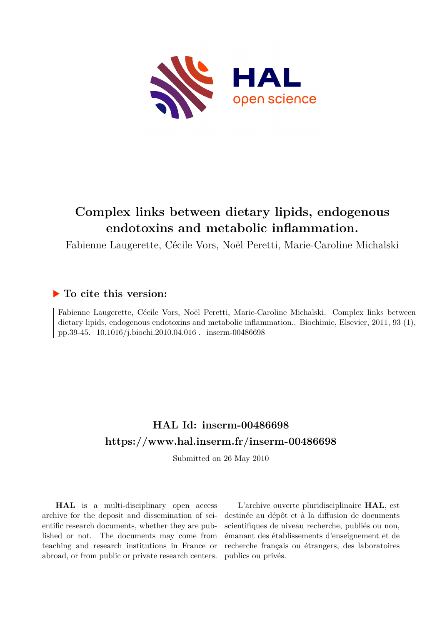

# **Complex links between dietary lipids, endogenous endotoxins and metabolic inflammation.**

Fabienne Laugerette, Cécile Vors, Noël Peretti, Marie-Caroline Michalski

## **To cite this version:**

Fabienne Laugerette, Cécile Vors, Noël Peretti, Marie-Caroline Michalski. Complex links between dietary lipids, endogenous endotoxins and metabolic inflammation.. Biochimie, Elsevier, 2011, 93 (1), pp.39-45. 10.1016/j.biochi.2010.04.016 . inserm-00486698

# **HAL Id: inserm-00486698 <https://www.hal.inserm.fr/inserm-00486698>**

Submitted on 26 May 2010

**HAL** is a multi-disciplinary open access archive for the deposit and dissemination of scientific research documents, whether they are published or not. The documents may come from teaching and research institutions in France or abroad, or from public or private research centers.

L'archive ouverte pluridisciplinaire **HAL**, est destinée au dépôt et à la diffusion de documents scientifiques de niveau recherche, publiés ou non, émanant des établissements d'enseignement et de recherche français ou étrangers, des laboratoires publics ou privés.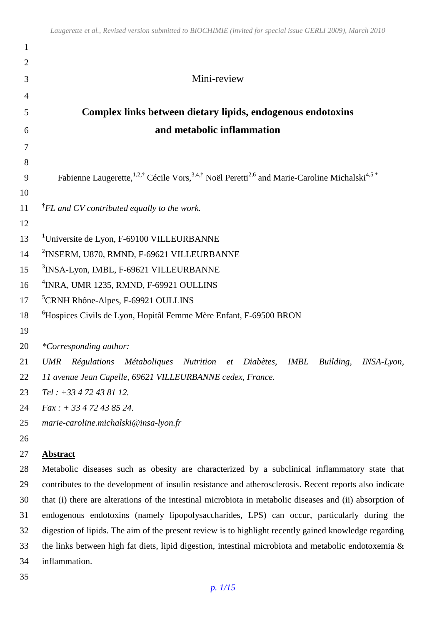| $\mathbf{1}$   |                                                                                                                                                          |
|----------------|----------------------------------------------------------------------------------------------------------------------------------------------------------|
| $\overline{2}$ |                                                                                                                                                          |
| 3              | Mini-review                                                                                                                                              |
| $\overline{4}$ |                                                                                                                                                          |
| 5              | Complex links between dietary lipids, endogenous endotoxins                                                                                              |
| 6              | and metabolic inflammation                                                                                                                               |
| 7              |                                                                                                                                                          |
| 8              |                                                                                                                                                          |
| 9              | Fabienne Laugerette, <sup>1,2,†</sup> Cécile Vors, <sup>3,4,†</sup> Noël Peretti <sup>2,6</sup> and Marie-Caroline Michalski <sup>4,5</sup> <sup>*</sup> |
| 10             |                                                                                                                                                          |
| 11             | $^{\dagger}$ FL and CV contributed equally to the work.                                                                                                  |
| 12             |                                                                                                                                                          |
| 13             | <sup>1</sup> Universite de Lyon, F-69100 VILLEURBANNE                                                                                                    |
| 14             | <sup>2</sup> INSERM, U870, RMND, F-69621 VILLEURBANNE                                                                                                    |
| 15             | <sup>3</sup> INSA-Lyon, IMBL, F-69621 VILLEURBANNE                                                                                                       |
| 16             | <sup>4</sup> INRA, UMR 1235, RMND, F-69921 OULLINS                                                                                                       |
| 17             | <sup>5</sup> CRNH Rhône-Alpes, F-69921 OULLINS                                                                                                           |
| 18             | <sup>6</sup> Hospices Civils de Lyon, Hopitâl Femme Mère Enfant, F-69500 BRON                                                                            |
| 19             |                                                                                                                                                          |
| 20             | *Corresponding author:                                                                                                                                   |
| 21             | Régulations Métaboliques<br>Nutrition et Diabètes,<br><b>UMR</b><br>IMBL<br>Building,<br>INSA-Lyon,                                                      |
| 22             | 11 avenue Jean Capelle, 69621 VILLEURBANNE cedex, France.                                                                                                |
| 23             | $Tel: +33472438112.$                                                                                                                                     |
| 24             | $Fax : +33472438524.$                                                                                                                                    |
| 25             | marie-caroline.michalski@insa-lyon.fr                                                                                                                    |
| 26             |                                                                                                                                                          |
| 27             | <b>Abstract</b>                                                                                                                                          |
| 28             | Metabolic diseases such as obesity are characterized by a subclinical inflammatory state that                                                            |
| 29             | contributes to the development of insulin resistance and atherosclerosis. Recent reports also indicate                                                   |
| 30             | that (i) there are alterations of the intestinal microbiota in metabolic diseases and (ii) absorption of                                                 |
| 31             | endogenous endotoxins (namely lipopolysaccharides, LPS) can occur, particularly during the                                                               |
| 32             | digestion of lipids. The aim of the present review is to highlight recently gained knowledge regarding                                                   |
| 33             | the links between high fat diets, lipid digestion, intestinal microbiota and metabolic endotoxemia $\&$                                                  |

inflammation.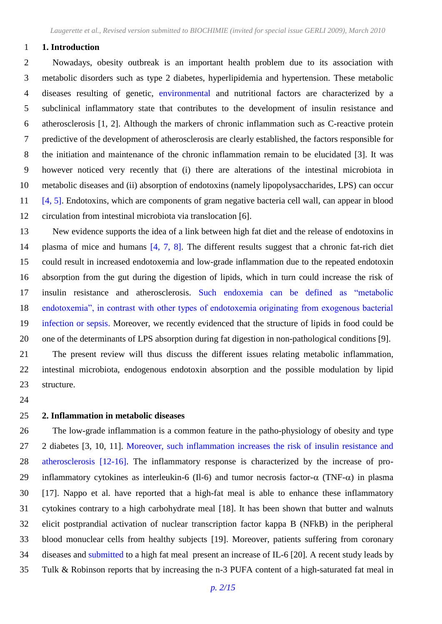#### **1. Introduction**

 Nowadays, obesity outbreak is an important health problem due to its association with metabolic disorders such as type 2 diabetes, hyperlipidemia and hypertension. These metabolic diseases resulting of genetic, environmental and nutritional factors are characterized by a subclinical inflammatory state that contributes to the development of insulin resistance and atherosclerosis [1, 2]. Although the markers of chronic inflammation such as C-reactive protein predictive of the development of atherosclerosis are clearly established, the factors responsible for the initiation and maintenance of the chronic inflammation remain to be elucidated [3]. It was however noticed very recently that (i) there are alterations of the intestinal microbiota in metabolic diseases and (ii) absorption of endotoxins (namely lipopolysaccharides, LPS) can occur [4, 5]. Endotoxins, which are components of gram negative bacteria cell wall, can appear in blood circulation from intestinal microbiota via translocation [6].

 New evidence supports the idea of a link between high fat diet and the release of endotoxins in 14 plasma of mice and humans [4, 7, 8]. The different results suggest that a chronic fat-rich diet could result in increased endotoxemia and low-grade inflammation due to the repeated endotoxin absorption from the gut during the digestion of lipids, which in turn could increase the risk of insulin resistance and atherosclerosis. Such endoxemia can be defined as "metabolic endotoxemia", in contrast with other types of endotoxemia originating from exogenous bacterial infection or sepsis. Moreover, we recently evidenced that the structure of lipids in food could be one of the determinants of LPS absorption during fat digestion in non-pathological conditions [9].

 The present review will thus discuss the different issues relating metabolic inflammation, intestinal microbiota, endogenous endotoxin absorption and the possible modulation by lipid structure.

#### **2. Inflammation in metabolic diseases**

 The low-grade inflammation is a common feature in the patho-physiology of obesity and type 2 diabetes [3, 10, 11]*.* Moreover, such inflammation increases the risk of insulin resistance and atherosclerosis [12-16]. The inflammatory response is characterized by the increase of pro-29 inflammatory cytokines as interleukin-6 (Il-6) and tumor necrosis factor- $\alpha$  (TNF- $\alpha$ ) in plasma [17]. Nappo et al. have reported that a high-fat meal is able to enhance these inflammatory cytokines contrary to a high carbohydrate meal [18]. It has been shown that butter and walnuts elicit postprandial activation of nuclear transcription factor kappa B (NFkB) in the peripheral blood monuclear cells from healthy subjects [19]. Moreover, patients suffering from coronary diseases and submitted to a high fat meal present an increase of IL-6 [20]*.* A recent study leads by Tulk & Robinson reports that by increasing the n-3 PUFA content of a high-saturated fat meal in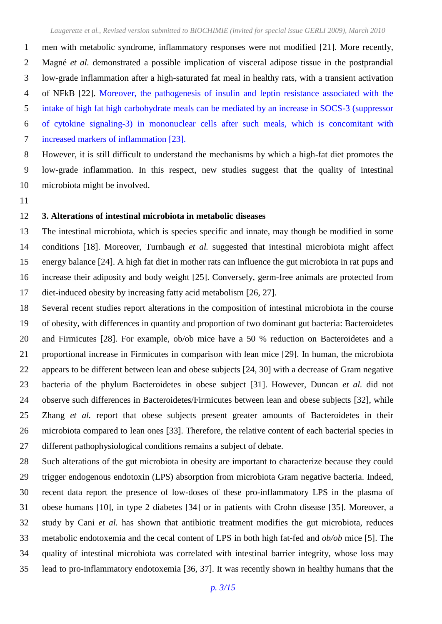men with metabolic syndrome, inflammatory responses were not modified [21]. More recently, Magné *et al.* demonstrated a possible implication of visceral adipose tissue in the postprandial low-grade inflammation after a high-saturated fat meal in healthy rats, with a transient activation of NFkB [22]. Moreover, the pathogenesis of insulin and leptin resistance associated with the intake of high fat high carbohydrate meals can be mediated by an increase in SOCS-3 (suppressor of cytokine signaling-3) in mononuclear cells after such meals, which is concomitant with increased markers of inflammation [23]. However, it is still difficult to understand the mechanisms by which a high-fat diet promotes the

 low-grade inflammation. In this respect, new studies suggest that the quality of intestinal microbiota might be involved.

#### **3. Alterations of intestinal microbiota in metabolic diseases**

 The intestinal microbiota, which is species specific and innate, may though be modified in some conditions [18]. Moreover, Turnbaugh *et al.* suggested that intestinal microbiota might affect energy balance [24]. A high fat diet in mother rats can influence the gut microbiota in rat pups and increase their adiposity and body weight [25]. Conversely, germ-free animals are protected from diet-induced obesity by increasing fatty acid metabolism [26, 27].

 Several recent studies report alterations in the composition of intestinal microbiota in the course of obesity, with differences in quantity and proportion of two dominant gut bacteria: Bacteroidetes and Firmicutes [28]. For example, ob/ob mice have a 50 % reduction on Bacteroidetes and a proportional increase in Firmicutes in comparison with lean mice [29]. In human, the microbiota appears to be different between lean and obese subjects [24, 30] with a decrease of Gram negative bacteria of the phylum Bacteroidetes in obese subject [31]. However, Duncan *et al.* did not observe such differences in Bacteroidetes/Firmicutes between lean and obese subjects [32], while Zhang *et al.* report that obese subjects present greater amounts of Bacteroidetes in their microbiota compared to lean ones [33]. Therefore, the relative content of each bacterial species in different pathophysiological conditions remains a subject of debate.

 Such alterations of the gut microbiota in obesity are important to characterize because they could trigger endogenous endotoxin (LPS) absorption from microbiota Gram negative bacteria. Indeed, recent data report the presence of low-doses of these pro-inflammatory LPS in the plasma of obese humans [10], in type 2 diabetes [34] or in patients with Crohn disease [35]. Moreover, a study by Cani *et al.* has shown that antibiotic treatment modifies the gut microbiota, reduces metabolic endotoxemia and the cecal content of LPS in both high fat-fed and *ob/ob* mice [5]. The quality of intestinal microbiota was correlated with intestinal barrier integrity, whose loss may lead to pro-inflammatory endotoxemia [36, 37]. It was recently shown in healthy humans that the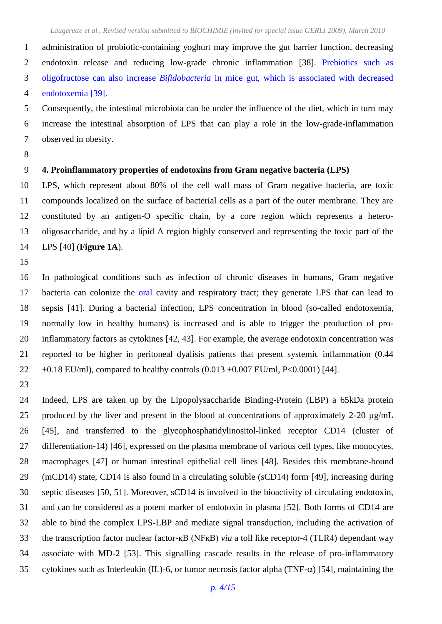administration of probiotic-containing yoghurt may improve the gut barrier function, decreasing endotoxin release and reducing low-grade chronic inflammation [38]. Prebiotics such as oligofructose can also increase *Bifidobacteria* in mice gut, which is associated with decreased endotoxemia [39].

 Consequently, the intestinal microbiota can be under the influence of the diet, which in turn may increase the intestinal absorption of LPS that can play a role in the low-grade-inflammation observed in obesity.

### **4. Proinflammatory properties of endotoxins from Gram negative bacteria (LPS)**

 LPS, which represent about 80% of the cell wall mass of Gram negative bacteria, are toxic compounds localized on the surface of bacterial cells as a part of the outer membrane. They are constituted by an antigen-O specific chain, by a core region which represents a hetero- oligosaccharide, and by a lipid A region highly conserved and representing the toxic part of the LPS [40] (**Figure 1A**).

 In pathological conditions such as infection of chronic diseases in humans, Gram negative bacteria can colonize the oral cavity and respiratory tract; they generate LPS that can lead to sepsis [41]. During a bacterial infection, LPS concentration in blood (so-called endotoxemia, normally low in healthy humans) is increased and is able to trigger the production of pro- inflammatory factors as cytokines [42, 43]. For example, the average endotoxin concentration was reported to be higher in peritoneal dyalisis patients that present systemic inflammation (0.44  $\pm 0.18$  EU/ml), compared to healthy controls  $(0.013 \pm 0.007$  EU/ml, P<0.0001) [44].

 Indeed, LPS are taken up by the Lipopolysaccharide Binding-Protein (LBP) a 65kDa protein produced by the liver and present in the blood at concentrations of approximately 2-20 µg/mL [45], and transferred to the glycophosphatidylinositol-linked receptor CD14 (cluster of differentiation-14) [46], expressed on the plasma membrane of various cell types, like monocytes, macrophages [47] or human intestinal epithelial cell lines [48]. Besides this membrane-bound (mCD14) state, CD14 is also found in a circulating soluble (sCD14) form [49], increasing during septic diseases [50, 51]. Moreover, sCD14 is involved in the bioactivity of circulating endotoxin, and can be considered as a potent marker of endotoxin in plasma [52]. Both forms of CD14 are able to bind the complex LPS-LBP and mediate signal transduction, including the activation of the transcription factor nuclear factor-қB (NFқB) *via* a toll like receptor-4 (TLR4) dependant way associate with MD-2 [53]. This signalling cascade results in the release of pro-inflammatory 35 cytokines such as Interleukin (IL)-6, or tumor necrosis factor alpha (TNF- $\alpha$ ) [54], maintaining the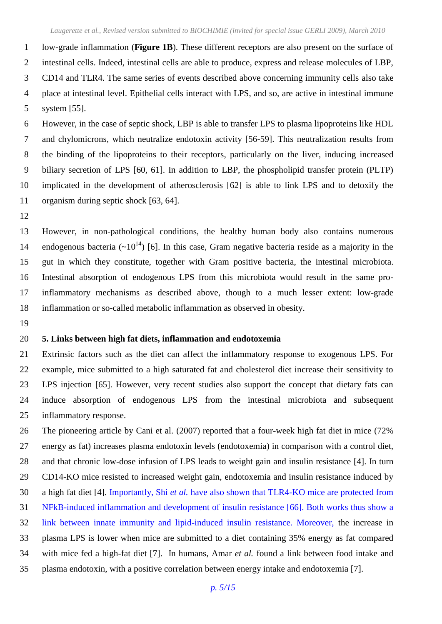low-grade inflammation (**[Figure 1B](#page-14-0)**). These different receptors are also present on the surface of intestinal cells. Indeed, intestinal cells are able to produce, express and release molecules of LBP, CD14 and TLR4. The same series of events described above concerning immunity cells also take place at intestinal level. Epithelial cells interact with LPS, and so, are active in intestinal immune system [55].

 However, in the case of septic shock, LBP is able to transfer LPS to plasma lipoproteins like HDL and chylomicrons, which neutralize endotoxin activity [56-59]. This neutralization results from the binding of the lipoproteins to their receptors, particularly on the liver, inducing increased biliary secretion of LPS [60, 61]. In addition to LBP, the phospholipid transfer protein (PLTP) implicated in the development of atherosclerosis [62] is able to link LPS and to detoxify the organism during septic shock [63, 64].

 However, in non-pathological conditions, the healthy human body also contains numerous 14 endogenous bacteria  $(\sim 10^{14})$  [6]. In this case, Gram negative bacteria reside as a majority in the gut in which they constitute, together with Gram positive bacteria, the intestinal microbiota. Intestinal absorption of endogenous LPS from this microbiota would result in the same pro- inflammatory mechanisms as described above, though to a much lesser extent: low-grade inflammation or so-called metabolic inflammation as observed in obesity.

#### **5. Links between high fat diets, inflammation and endotoxemia**

 Extrinsic factors such as the diet can affect the inflammatory response to exogenous LPS. For example, mice submitted to a high saturated fat and cholesterol diet increase their sensitivity to LPS injection [65]. However, very recent studies also support the concept that dietary fats can induce absorption of endogenous LPS from the intestinal microbiota and subsequent inflammatory response.

 The pioneering article by Cani et al. (2007) reported that a four-week high fat diet in mice (72% energy as fat) increases plasma endotoxin levels (endotoxemia) in comparison with a control diet, and that chronic low-dose infusion of LPS leads to weight gain and insulin resistance [4]. In turn CD14-KO mice resisted to increased weight gain, endotoxemia and insulin resistance induced by a high fat diet [4]. Importantly, Shi *et al.* have also shown that TLR4-KO mice are protected from NFkB-induced inflammation and development of insulin resistance [66]. Both works thus show a link between innate immunity and lipid-induced insulin resistance. Moreover, the increase in plasma LPS is lower when mice are submitted to a diet containing 35% energy as fat compared with mice fed a high-fat diet [7]. In humans, Amar *et al.* found a link between food intake and plasma endotoxin, with a positive correlation between energy intake and endotoxemia [7].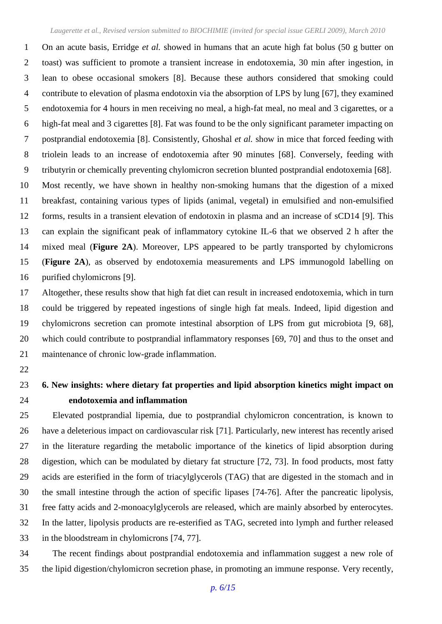On an acute basis, Erridge *et al.* showed in humans that an acute high fat bolus (50 g butter on toast) was sufficient to promote a transient increase in endotoxemia, 30 min after ingestion, in lean to obese occasional smokers [8]. Because these authors considered that smoking could contribute to elevation of plasma endotoxin via the absorption of LPS by lung [67], they examined endotoxemia for 4 hours in men receiving no meal, a high-fat meal, no meal and 3 cigarettes, or a high-fat meal and 3 cigarettes [8]. Fat was found to be the only significant parameter impacting on postprandial endotoxemia [8]. Consistently, Ghoshal *et al.* show in mice that forced feeding with triolein leads to an increase of endotoxemia after 90 minutes [68]. Conversely, feeding with tributyrin or chemically preventing chylomicron secretion blunted postprandial endotoxemia [68]. Most recently, we have shown in healthy non-smoking humans that the digestion of a mixed

 breakfast, containing various types of lipids (animal, vegetal) in emulsified and non-emulsified forms, results in a transient elevation of endotoxin in plasma and an increase of sCD14 [9]. This can explain the significant peak of inflammatory cytokine IL-6 that we observed 2 h after the mixed meal (**[Figure 2A](#page-14-1)**). Moreover, LPS appeared to be partly transported by chylomicrons (**[Figure 2A](#page-14-1)**), as observed by endotoxemia measurements and LPS immunogold labelling on purified chylomicrons [9].

 Altogether, these results show that high fat diet can result in increased endotoxemia, which in turn could be triggered by repeated ingestions of single high fat meals. Indeed, lipid digestion and chylomicrons secretion can promote intestinal absorption of LPS from gut microbiota [9, 68], which could contribute to postprandial inflammatory responses [69, 70] and thus to the onset and maintenance of chronic low-grade inflammation.

## **6. New insights: where dietary fat properties and lipid absorption kinetics might impact on endotoxemia and inflammation**

 Elevated postprandial lipemia, due to postprandial chylomicron concentration, is known to have a deleterious impact on cardiovascular risk [71]. Particularly, new interest has recently arised in the literature regarding the metabolic importance of the kinetics of lipid absorption during digestion, which can be modulated by dietary fat structure [72, 73]. In food products, most fatty acids are esterified in the form of triacylglycerols (TAG) that are digested in the stomach and in the small intestine through the action of specific lipases [74-76]. After the pancreatic lipolysis, free fatty acids and 2-monoacylglycerols are released, which are mainly absorbed by enterocytes. In the latter, lipolysis products are re-esterified as TAG, secreted into lymph and further released in the bloodstream in chylomicrons [74, 77].

 The recent findings about postprandial endotoxemia and inflammation suggest a new role of the lipid digestion/chylomicron secretion phase, in promoting an immune response. Very recently,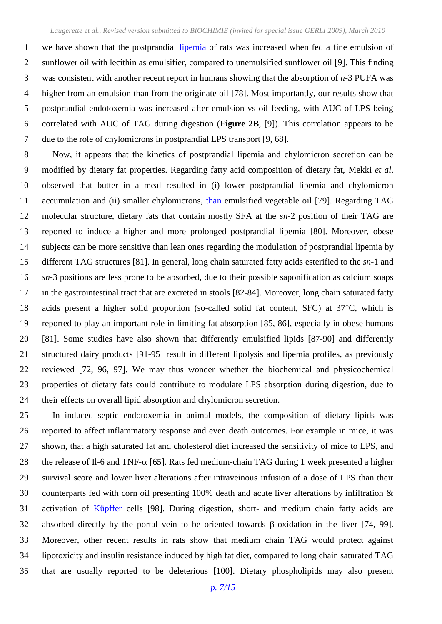we have shown that the postprandial lipemia of rats was increased when fed a fine emulsion of sunflower oil with lecithin as emulsifier, compared to unemulsified sunflower oil [9]. This finding was consistent with another recent report in humans showing that the absorption of *n*-3 PUFA was higher from an emulsion than from the originate oil [78]. Most importantly, our results show that postprandial endotoxemia was increased after emulsion vs oil feeding, with AUC of LPS being correlated with AUC of TAG during digestion (**[Figure 2B](#page-14-1)**, [9]). This correlation appears to be due to the role of chylomicrons in postprandial LPS transport [9, 68].

 Now, it appears that the kinetics of postprandial lipemia and chylomicron secretion can be modified by dietary fat properties. Regarding fatty acid composition of dietary fat, Mekki *et al*. observed that butter in a meal resulted in (i) lower postprandial lipemia and chylomicron accumulation and (ii) smaller chylomicrons, than emulsified vegetable oil [79]. Regarding TAG molecular structure, dietary fats that contain mostly SFA at the *sn*-2 position of their TAG are reported to induce a higher and more prolonged postprandial lipemia [80]. Moreover, obese subjects can be more sensitive than lean ones regarding the modulation of postprandial lipemia by different TAG structures [81]. In general, long chain saturated fatty acids esterified to the *sn*-1 and *sn*-3 positions are less prone to be absorbed, due to their possible saponification as calcium soaps in the gastrointestinal tract that are excreted in stools [82-84]. Moreover, long chain saturated fatty acids present a higher solid proportion (so-called solid fat content, SFC) at 37°C, which is reported to play an important role in limiting fat absorption [85, 86], especially in obese humans [81]. Some studies have also shown that differently emulsified lipids [87-90] and differently structured dairy products [91-95] result in different lipolysis and lipemia profiles, as previously reviewed [72, 96, 97]. We may thus wonder whether the biochemical and physicochemical properties of dietary fats could contribute to modulate LPS absorption during digestion, due to their effects on overall lipid absorption and chylomicron secretion.

 In induced septic endotoxemia in animal models, the composition of dietary lipids was reported to affect inflammatory response and even death outcomes. For example in mice, it was shown, that a high saturated fat and cholesterol diet increased the sensitivity of mice to LPS, and 28 the release of Il-6 and TNF- $\alpha$  [65]. Rats fed medium-chain TAG during 1 week presented a higher survival score and lower liver alterations after intraveinous infusion of a dose of LPS than their counterparts fed with corn oil presenting 100% death and acute liver alterations by infiltration & activation of Küpffer cells [98]. During digestion, short- and medium chain fatty acids are 32 absorbed directly by the portal vein to be oriented towards  $\beta$ -oxidation in the liver [74, 99]. Moreover, other recent results in rats show that medium chain TAG would protect against lipotoxicity and insulin resistance induced by high fat diet, compared to long chain saturated TAG that are usually reported to be deleterious [100]. Dietary phospholipids may also present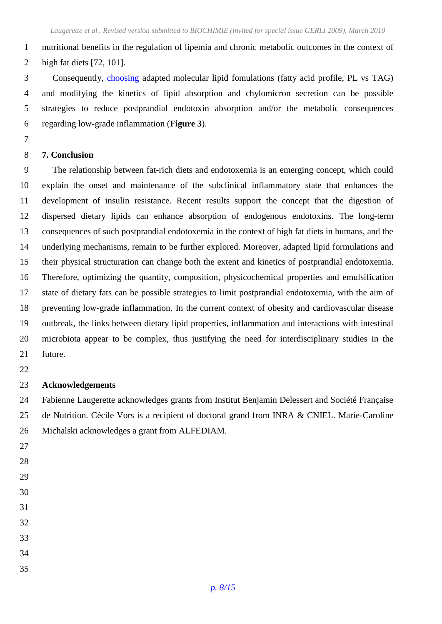nutritional benefits in the regulation of lipemia and chronic metabolic outcomes in the context of high fat diets [72, 101].

 Consequently, choosing adapted molecular lipid fomulations (fatty acid profile, PL vs TAG) and modifying the kinetics of lipid absorption and chylomicron secretion can be possible strategies to reduce postprandial endotoxin absorption and/or the metabolic consequences regarding low-grade inflammation (**Figure 3**).

#### **7. Conclusion**

 The relationship between fat-rich diets and endotoxemia is an emerging concept, which could explain the onset and maintenance of the subclinical inflammatory state that enhances the development of insulin resistance. Recent results support the concept that the digestion of dispersed dietary lipids can enhance absorption of endogenous endotoxins. The long-term consequences of such postprandial endotoxemia in the context of high fat diets in humans, and the underlying mechanisms, remain to be further explored. Moreover, adapted lipid formulations and their physical structuration can change both the extent and kinetics of postprandial endotoxemia. Therefore, optimizing the quantity, composition, physicochemical properties and emulsification state of dietary fats can be possible strategies to limit postprandial endotoxemia, with the aim of preventing low-grade inflammation. In the current context of obesity and cardiovascular disease outbreak, the links between dietary lipid properties, inflammation and interactions with intestinal microbiota appear to be complex, thus justifying the need for interdisciplinary studies in the future.

#### **Acknowledgements**

 Fabienne Laugerette acknowledges grants from Institut Benjamin Delessert and Société Française de Nutrition. Cécile Vors is a recipient of doctoral grand from INRA & CNIEL. Marie-Caroline Michalski acknowledges a grant from ALFEDIAM.

- 
- 
- 
- 
- 
- 
- 
- 
- 
-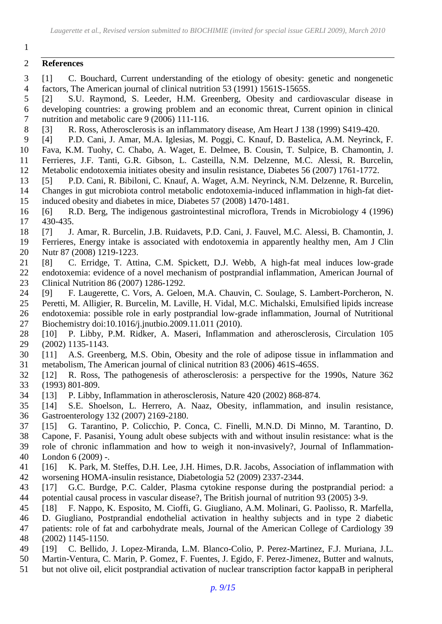#### **References**

- [1] C. Bouchard, Current understanding of the etiology of obesity: genetic and nongenetic factors, The American journal of clinical nutrition 53 (1991) 1561S-1565S.
- [2] S.U. Raymond, S. Leeder, H.M. Greenberg, Obesity and cardiovascular disease in developing countries: a growing problem and an economic threat, Current opinion in clinical nutrition and metabolic care 9 (2006) 111-116.
- [3] R. Ross, Atherosclerosis is an inflammatory disease, Am Heart J 138 (1999) S419-420.
- [4] P.D. Cani, J. Amar, M.A. Iglesias, M. Poggi, C. Knauf, D. Bastelica, A.M. Neyrinck, F.
- Fava, K.M. Tuohy, C. Chabo, A. Waget, E. Delmee, B. Cousin, T. Sulpice, B. Chamontin, J. Ferrieres, J.F. Tanti, G.R. Gibson, L. Casteilla, N.M. Delzenne, M.C. Alessi, R. Burcelin,
- Metabolic endotoxemia initiates obesity and insulin resistance, Diabetes 56 (2007) 1761-1772.
- [5] P.D. Cani, R. Bibiloni, C. Knauf, A. Waget, A.M. Neyrinck, N.M. Delzenne, R. Burcelin,
- Changes in gut microbiota control metabolic endotoxemia-induced inflammation in high-fat diet-induced obesity and diabetes in mice, Diabetes 57 (2008) 1470-1481.
- [6] R.D. Berg, The indigenous gastrointestinal microflora, Trends in Microbiology 4 (1996) 430-435.
- [7] J. Amar, R. Burcelin, J.B. Ruidavets, P.D. Cani, J. Fauvel, M.C. Alessi, B. Chamontin, J.
- Ferrieres, Energy intake is associated with endotoxemia in apparently healthy men, Am J Clin Nutr 87 (2008) 1219-1223.
- [8] C. Erridge, T. Attina, C.M. Spickett, D.J. Webb, A high-fat meal induces low-grade endotoxemia: evidence of a novel mechanism of postprandial inflammation, American Journal of Clinical Nutrition 86 (2007) 1286-1292.
- [9] F. Laugerette, C. Vors, A. Geloen, M.A. Chauvin, C. Soulage, S. Lambert-Porcheron, N.
- Peretti, M. Alligier, R. Burcelin, M. Laville, H. Vidal, M.C. Michalski, Emulsified lipids increase endotoxemia: possible role in early postprandial low-grade inflammation, Journal of Nutritional Biochemistry doi:10.1016/j.jnutbio.2009.11.011 (2010).
- [10] P. Libby, P.M. Ridker, A. Maseri, Inflammation and atherosclerosis, Circulation 105 (2002) 1135-1143.
- [11] A.S. Greenberg, M.S. Obin, Obesity and the role of adipose tissue in inflammation and metabolism, The American journal of clinical nutrition 83 (2006) 461S-465S.
- [12] R. Ross, The pathogenesis of atherosclerosis: a perspective for the 1990s, Nature 362 (1993) 801-809.
- [13] P. Libby, Inflammation in atherosclerosis, Nature 420 (2002) 868-874.
- [14] S.E. Shoelson, L. Herrero, A. Naaz, Obesity, inflammation, and insulin resistance, Gastroenterology 132 (2007) 2169-2180.
- [15] G. Tarantino, P. Colicchio, P. Conca, C. Finelli, M.N.D. Di Minno, M. Tarantino, D.
- Capone, F. Pasanisi, Young adult obese subjects with and without insulin resistance: what is the role of chronic inflammation and how to weigh it non-invasively?, Journal of Inflammation-
- London 6 (2009) -.
- [16] K. Park, M. Steffes, D.H. Lee, J.H. Himes, D.R. Jacobs, Association of inflammation with worsening HOMA-insulin resistance, Diabetologia 52 (2009) 2337-2344.
- [17] G.C. Burdge, P.C. Calder, Plasma cytokine response during the postprandial period: a potential causal process in vascular disease?, The British journal of nutrition 93 (2005) 3-9.
- [18] F. Nappo, K. Esposito, M. Cioffi, G. Giugliano, A.M. Molinari, G. Paolisso, R. Marfella,
- D. Giugliano, Postprandial endothelial activation in healthy subjects and in type 2 diabetic
- patients: role of fat and carbohydrate meals, Journal of the American College of Cardiology 39 (2002) 1145-1150.
- [19] C. Bellido, J. Lopez-Miranda, L.M. Blanco-Colio, P. Perez-Martinez, F.J. Muriana, J.L.
- Martin-Ventura, C. Marin, P. Gomez, F. Fuentes, J. Egido, F. Perez-Jimenez, Butter and walnuts,
- but not olive oil, elicit postprandial activation of nuclear transcription factor kappaB in peripheral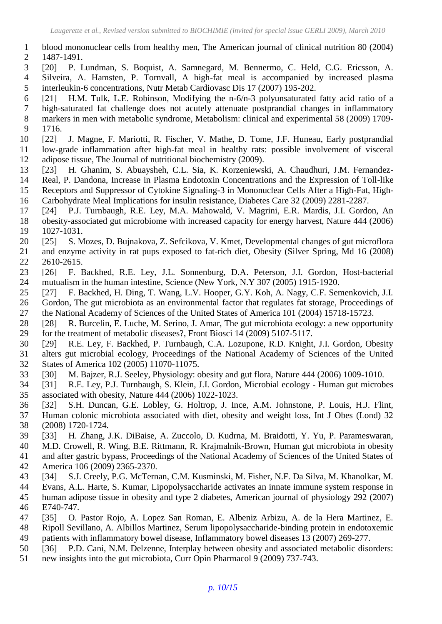- blood mononuclear cells from healthy men, The American journal of clinical nutrition 80 (2004) 1487-1491.
- [20] P. Lundman, S. Boquist, A. Samnegard, M. Bennermo, C. Held, C.G. Ericsson, A. Silveira, A. Hamsten, P. Tornvall, A high-fat meal is accompanied by increased plasma interleukin-6 concentrations, Nutr Metab Cardiovasc Dis 17 (2007) 195-202.
- [21] H.M. Tulk, L.E. Robinson, Modifying the n-6/n-3 polyunsaturated fatty acid ratio of a high-saturated fat challenge does not acutely attenuate postprandial changes in inflammatory markers in men with metabolic syndrome, Metabolism: clinical and experimental 58 (2009) 1709- 1716.
- [22] J. Magne, F. Mariotti, R. Fischer, V. Mathe, D. Tome, J.F. Huneau, Early postprandial low-grade inflammation after high-fat meal in healthy rats: possible involvement of visceral adipose tissue, The Journal of nutritional biochemistry (2009).
- [23] H. Ghanim, S. Abuaysheh, C.L. Sia, K. Korzeniewski, A. Chaudhuri, J.M. Fernandez- Real, P. Dandona, Increase in Plasma Endotoxin Concentrations and the Expression of Toll-like Receptors and Suppressor of Cytokine Signaling-3 in Mononuclear Cells After a High-Fat, High-Carbohydrate Meal Implications for insulin resistance, Diabetes Care 32 (2009) 2281-2287.
- [24] P.J. Turnbaugh, R.E. Ley, M.A. Mahowald, V. Magrini, E.R. Mardis, J.I. Gordon, An obesity-associated gut microbiome with increased capacity for energy harvest, Nature 444 (2006)
- 1027-1031.
- [25] S. Mozes, D. Bujnakova, Z. Sefcikova, V. Kmet, Developmental changes of gut microflora and enzyme activity in rat pups exposed to fat-rich diet, Obesity (Silver Spring, Md 16 (2008) 2610-2615.
- [26] F. Backhed, R.E. Ley, J.L. Sonnenburg, D.A. Peterson, J.I. Gordon, Host-bacterial mutualism in the human intestine, Science (New York, N.Y 307 (2005) 1915-1920.
- [27] F. Backhed, H. Ding, T. Wang, L.V. Hooper, G.Y. Koh, A. Nagy, C.F. Semenkovich, J.I.
- Gordon, The gut microbiota as an environmental factor that regulates fat storage, Proceedings of the National Academy of Sciences of the United States of America 101 (2004) 15718-15723.
- [28] R. Burcelin, E. Luche, M. Serino, J. Amar, The gut microbiota ecology: a new opportunity for the treatment of metabolic diseases?, Front Biosci 14 (2009) 5107-5117.
- [29] R.E. Ley, F. Backhed, P. Turnbaugh, C.A. Lozupone, R.D. Knight, J.I. Gordon, Obesity alters gut microbial ecology, Proceedings of the National Academy of Sciences of the United States of America 102 (2005) 11070-11075.
- [30] M. Bajzer, R.J. Seeley, Physiology: obesity and gut flora, Nature 444 (2006) 1009-1010.
- [31] R.E. Ley, P.J. Turnbaugh, S. Klein, J.I. Gordon, Microbial ecology Human gut microbes associated with obesity, Nature 444 (2006) 1022-1023.
- [32] S.H. Duncan, G.E. Lobley, G. Holtrop, J. Ince, A.M. Johnstone, P. Louis, H.J. Flint, Human colonic microbiota associated with diet, obesity and weight loss, Int J Obes (Lond) 32 (2008) 1720-1724.
- [33] H. Zhang, J.K. DiBaise, A. Zuccolo, D. Kudrna, M. Braidotti, Y. Yu, P. Parameswaran, M.D. Crowell, R. Wing, B.E. Rittmann, R. Krajmalnik-Brown, Human gut microbiota in obesity
- and after gastric bypass, Proceedings of the National Academy of Sciences of the United States of America 106 (2009) 2365-2370.
- [34] S.J. Creely, P.G. McTernan, C.M. Kusminski, M. Fisher, N.F. Da Silva, M. Khanolkar, M.
- Evans, A.L. Harte, S. Kumar, Lipopolysaccharide activates an innate immune system response in human adipose tissue in obesity and type 2 diabetes, American journal of physiology 292 (2007) E740-747.
- [35] O. Pastor Rojo, A. Lopez San Roman, E. Albeniz Arbizu, A. de la Hera Martinez, E.
- Ripoll Sevillano, A. Albillos Martinez, Serum lipopolysaccharide-binding protein in endotoxemic
- patients with inflammatory bowel disease, Inflammatory bowel diseases 13 (2007) 269-277.
- [36] P.D. Cani, N.M. Delzenne, Interplay between obesity and associated metabolic disorders:
- new insights into the gut microbiota, Curr Opin Pharmacol 9 (2009) 737-743.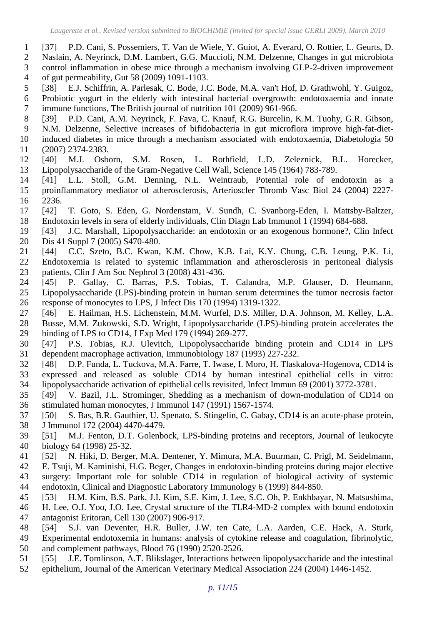- [37] P.D. Cani, S. Possemiers, T. Van de Wiele, Y. Guiot, A. Everard, O. Rottier, L. Geurts, D.
- Naslain, A. Neyrinck, D.M. Lambert, G.G. Muccioli, N.M. Delzenne, Changes in gut microbiota control inflammation in obese mice through a mechanism involving GLP-2-driven improvement
- of gut permeability, Gut 58 (2009) 1091-1103.
- [38] E.J. Schiffrin, A. Parlesak, C. Bode, J.C. Bode, M.A. van't Hof, D. Grathwohl, Y. Guigoz, Probiotic yogurt in the elderly with intestinal bacterial overgrowth: endotoxaemia and innate immune functions, The British journal of nutrition 101 (2009) 961-966.
- [39] P.D. Cani, A.M. Neyrinck, F. Fava, C. Knauf, R.G. Burcelin, K.M. Tuohy, G.R. Gibson,
- N.M. Delzenne, Selective increases of bifidobacteria in gut microflora improve high-fat-diet-
- induced diabetes in mice through a mechanism associated with endotoxaemia, Diabetologia 50 (2007) 2374-2383.
- [40] M.J. Osborn, S.M. Rosen, L. Rothfield, L.D. Zeleznick, B.L. Horecker, Lipopolysaccharide of the Gram-Negative Cell Wall, Science 145 (1964) 783-789.
- [41] L.L. Stoll, G.M. Denning, N.L. Weintraub, Potential role of endotoxin as a proinflammatory mediator of atherosclerosis, Arterioscler Thromb Vasc Biol 24 (2004) 2227- 2236.
- [42] T. Goto, S. Eden, G. Nordenstam, V. Sundh, C. Svanborg-Eden, I. Mattsby-Baltzer, Endotoxin levels in sera of elderly individuals, Clin Diagn Lab Immunol 1 (1994) 684-688.
- [43] J.C. Marshall, Lipopolysaccharide: an endotoxin or an exogenous hormone?, Clin Infect Dis 41 Suppl 7 (2005) S470-480.
- [44] C.C. Szeto, B.C. Kwan, K.M. Chow, K.B. Lai, K.Y. Chung, C.B. Leung, P.K. Li, Endotoxemia is related to systemic inflammation and atherosclerosis in peritoneal dialysis patients, Clin J Am Soc Nephrol 3 (2008) 431-436.
- [45] P. Gallay, C. Barras, P.S. Tobias, T. Calandra, M.P. Glauser, D. Heumann, Lipopolysaccharide (LPS)-binding protein in human serum determines the tumor necrosis factor response of monocytes to LPS, J Infect Dis 170 (1994) 1319-1322.
- [46] E. Hailman, H.S. Lichenstein, M.M. Wurfel, D.S. Miller, D.A. Johnson, M. Kelley, L.A.
- Busse, M.M. Zukowski, S.D. Wright, Lipopolysaccharide (LPS)-binding protein accelerates the binding of LPS to CD14, J Exp Med 179 (1994) 269-277.
- [47] P.S. Tobias, R.J. Ulevitch, Lipopolysaccharide binding protein and CD14 in LPS dependent macrophage activation, Immunobiology 187 (1993) 227-232.
- [48] D.P. Funda, L. Tuckova, M.A. Farre, T. Iwase, I. Moro, H. Tlaskalova-Hogenova, CD14 is expressed and released as soluble CD14 by human intestinal epithelial cells in vitro: lipopolysaccharide activation of epithelial cells revisited, Infect Immun 69 (2001) 3772-3781.
- [49] V. Bazil, J.L. Strominger, Shedding as a mechanism of down-modulation of CD14 on stimulated human monocytes, J Immunol 147 (1991) 1567-1574.
- [50] S. Bas, B.R. Gauthier, U. Spenato, S. Stingelin, C. Gabay, CD14 is an acute-phase protein, J Immunol 172 (2004) 4470-4479.
- [51] M.J. Fenton, D.T. Golenbock, LPS-binding proteins and receptors, Journal of leukocyte biology 64 (1998) 25-32.
- [52] N. Hiki, D. Berger, M.A. Dentener, Y. Mimura, M.A. Buurman, C. Prigl, M. Seidelmann,
- E. Tsuji, M. Kaminishi, H.G. Beger, Changes in endotoxin-binding proteins during major elective surgery: Important role for soluble CD14 in regulation of biological activity of systemic endotoxin, Clinical and Diagnostic Laboratory Immunology 6 (1999) 844-850.
- [53] H.M. Kim, B.S. Park, J.I. Kim, S.E. Kim, J. Lee, S.C. Oh, P. Enkhbayar, N. Matsushima,
- H. Lee, O.J. Yoo, J.O. Lee, Crystal structure of the TLR4-MD-2 complex with bound endotoxin antagonist Eritoran, Cell 130 (2007) 906-917.
- [54] S.J. van Deventer, H.R. Buller, J.W. ten Cate, L.A. Aarden, C.E. Hack, A. Sturk,
- Experimental endotoxemia in humans: analysis of cytokine release and coagulation, fibrinolytic,
- and complement pathways, Blood 76 (1990) 2520-2526.
- [55] J.E. Tomlinson, A.T. Blikslager, Interactions between lipopolysaccharide and the intestinal
- epithelium, Journal of the American Veterinary Medical Association 224 (2004) 1446-1452.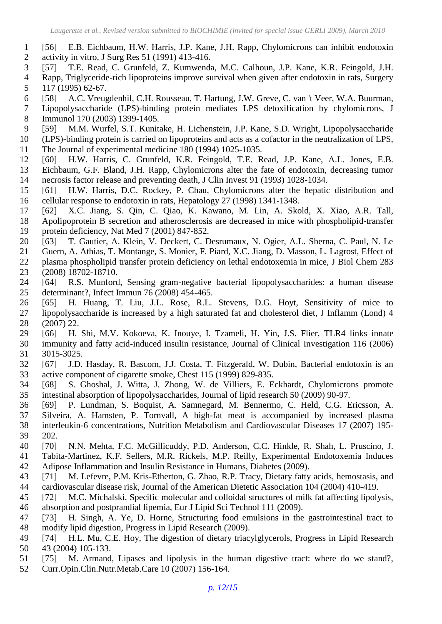- [56] E.B. Eichbaum, H.W. Harris, J.P. Kane, J.H. Rapp, Chylomicrons can inhibit endotoxin activity in vitro, J Surg Res 51 (1991) 413-416.
- [57] T.E. Read, C. Grunfeld, Z. Kumwenda, M.C. Calhoun, J.P. Kane, K.R. Feingold, J.H.
- Rapp, Triglyceride-rich lipoproteins improve survival when given after endotoxin in rats, Surgery 117 (1995) 62-67.
- [58] A.C. Vreugdenhil, C.H. Rousseau, T. Hartung, J.W. Greve, C. van 't Veer, W.A. Buurman,
- Lipopolysaccharide (LPS)-binding protein mediates LPS detoxification by chylomicrons, J Immunol 170 (2003) 1399-1405.
- [59] M.M. Wurfel, S.T. Kunitake, H. Lichenstein, J.P. Kane, S.D. Wright, Lipopolysaccharide
- (LPS)-binding protein is carried on lipoproteins and acts as a cofactor in the neutralization of LPS, The Journal of experimental medicine 180 (1994) 1025-1035.
- [60] H.W. Harris, C. Grunfeld, K.R. Feingold, T.E. Read, J.P. Kane, A.L. Jones, E.B. Eichbaum, G.F. Bland, J.H. Rapp, Chylomicrons alter the fate of endotoxin, decreasing tumor necrosis factor release and preventing death, J Clin Invest 91 (1993) 1028-1034.
- [61] H.W. Harris, D.C. Rockey, P. Chau, Chylomicrons alter the hepatic distribution and cellular response to endotoxin in rats, Hepatology 27 (1998) 1341-1348.
- [62] X.C. Jiang, S. Qin, C. Qiao, K. Kawano, M. Lin, A. Skold, X. Xiao, A.R. Tall, Apolipoprotein B secretion and atherosclerosis are decreased in mice with phospholipid-transfer protein deficiency, Nat Med 7 (2001) 847-852.
- [63] T. Gautier, A. Klein, V. Deckert, C. Desrumaux, N. Ogier, A.L. Sberna, C. Paul, N. Le
- Guern, A. Athias, T. Montange, S. Monier, F. Piard, X.C. Jiang, D. Masson, L. Lagrost, Effect of
- plasma phospholipid transfer protein deficiency on lethal endotoxemia in mice, J Biol Chem 283 (2008) 18702-18710.
- [64] R.S. Munford, Sensing gram-negative bacterial lipopolysaccharides: a human disease determinant?, Infect Immun 76 (2008) 454-465.
- [65] H. Huang, T. Liu, J.L. Rose, R.L. Stevens, D.G. Hoyt, Sensitivity of mice to lipopolysaccharide is increased by a high saturated fat and cholesterol diet, J Inflamm (Lond) 4 (2007) 22.
- [66] H. Shi, M.V. Kokoeva, K. Inouye, I. Tzameli, H. Yin, J.S. Flier, TLR4 links innate immunity and fatty acid-induced insulin resistance, Journal of Clinical Investigation 116 (2006) 3015-3025.
- [67] J.D. Hasday, R. Bascom, J.J. Costa, T. Fitzgerald, W. Dubin, Bacterial endotoxin is an active component of cigarette smoke, Chest 115 (1999) 829-835.
- [68] S. Ghoshal, J. Witta, J. Zhong, W. de Villiers, E. Eckhardt, Chylomicrons promote intestinal absorption of lipopolysaccharides, Journal of lipid research 50 (2009) 90-97.
- [69] P. Lundman, S. Boquist, A. Samnegard, M. Bennermo, C. Held, C.G. Ericsson, A.
- Silveira, A. Hamsten, P. Tornvall, A high-fat meat is accompanied by increased plasma interleukin-6 concentrations, Nutrition Metabolism and Cardiovascular Diseases 17 (2007) 195- 202.
- [70] N.N. Mehta, F.C. McGillicuddy, P.D. Anderson, C.C. Hinkle, R. Shah, L. Pruscino, J. Tabita-Martinez, K.F. Sellers, M.R. Rickels, M.P. Reilly, Experimental Endotoxemia Induces
- Adipose Inflammation and Insulin Resistance in Humans, Diabetes (2009).
- [71] M. Lefevre, P.M. Kris-Etherton, G. Zhao, R.P. Tracy, Dietary fatty acids, hemostasis, and cardiovascular disease risk, Journal of the American Dietetic Association 104 (2004) 410-419.
- [72] M.C. Michalski, Specific molecular and colloidal structures of milk fat affecting lipolysis, absorption and postprandial lipemia, Eur J Lipid Sci Technol 111 (2009).
- [73] H. Singh, A. Ye, D. Horne, Structuring food emulsions in the gastrointestinal tract to modify lipid digestion, Progress in Lipid Research (2009).
- [74] H.L. Mu, C.E. Hoy, The digestion of dietary triacylglycerols, Progress in Lipid Research 43 (2004) 105-133.
- [75] M. Armand, Lipases and lipolysis in the human digestive tract: where do we stand?,
- Curr.Opin.Clin.Nutr.Metab.Care 10 (2007) 156-164.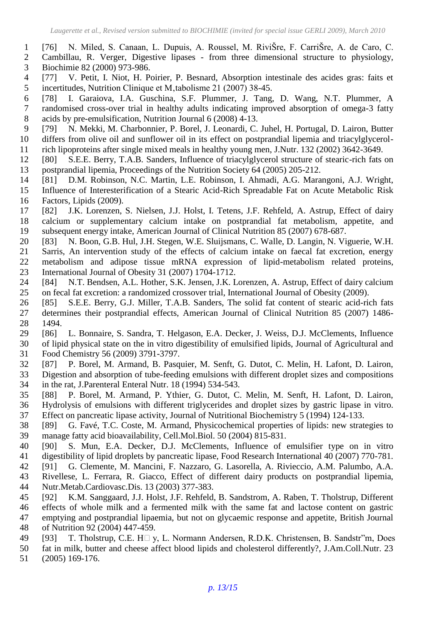- [76] N. Miled, S. Canaan, L. Dupuis, A. Roussel, M. RiviŠre, F. CarriŠre, A. de Caro, C.
- Cambillau, R. Verger, Digestive lipases from three dimensional structure to physiology, Biochimie 82 (2000) 973-986.
- [77] V. Petit, I. Niot, H. Poirier, P. Besnard, Absorption intestinale des acides gras: faits et 5 incertitudes, Nutrition Clinique et M, tabolisme 21 (2007) 38-45.
- [78] I. Garaiova, I.A. Guschina, S.F. Plummer, J. Tang, D. Wang, N.T. Plummer, A randomised cross-over trial in healthy adults indicating improved absorption of omega-3 fatty acids by pre-emulsification, Nutrition Journal 6 (2008) 4-13.
- [79] N. Mekki, M. Charbonnier, P. Borel, J. Leonardi, C. Juhel, H. Portugal, D. Lairon, Butter differs from olive oil and sunflower oil in its effect on postprandial lipemia and triacylglycerol-
- rich lipoproteins after single mixed meals in healthy young men, J.Nutr. 132 (2002) 3642-3649. [80] S.E.E. Berry, T.A.B. Sanders, Influence of triacylglycerol structure of stearic-rich fats on
- postprandial lipemia, Proceedings of the Nutrition Society 64 (2005) 205-212.
- [81] D.M. Robinson, N.C. Martin, L.E. Robinson, I. Ahmadi, A.G. Marangoni, A.J. Wright,
- Influence of Interesterification of a Stearic Acid-Rich Spreadable Fat on Acute Metabolic Risk Factors, Lipids (2009).
- [82] J.K. Lorenzen, S. Nielsen, J.J. Holst, I. Tetens, J.F. Rehfeld, A. Astrup, Effect of dairy calcium or supplementary calcium intake on postprandial fat metabolism, appetite, and subsequent energy intake, American Journal of Clinical Nutrition 85 (2007) 678-687.
- [83] N. Boon, G.B. Hul, J.H. Stegen, W.E. Sluijsmans, C. Walle, D. Langin, N. Viguerie, W.H. Sarris, An intervention study of the effects of calcium intake on faecal fat excretion, energy metabolism and adipose tissue mRNA expression of lipid-metabolism related proteins, International Journal of Obesity 31 (2007) 1704-1712.
- [84] N.T. Bendsen, A.L. Hother, S.K. Jensen, J.K. Lorenzen, A. Astrup, Effect of dairy calcium on fecal fat excretion: a randomized crossover trial, International Journal of Obesity (2009).
- [85] S.E.E. Berry, G.J. Miller, T.A.B. Sanders, The solid fat content of stearic acid-rich fats determines their postprandial effects, American Journal of Clinical Nutrition 85 (2007) 1486- 1494.
- [86] L. Bonnaire, S. Sandra, T. Helgason, E.A. Decker, J. Weiss, D.J. McClements, Influence of lipid physical state on the in vitro digestibility of emulsified lipids, Journal of Agricultural and Food Chemistry 56 (2009) 3791-3797.
- [87] P. Borel, M. Armand, B. Pasquier, M. Senft, G. Dutot, C. Melin, H. Lafont, D. Lairon, Digestion and absorption of tube-feeding emulsions with different droplet sizes and compositions in the rat, J.Parenteral Enteral Nutr. 18 (1994) 534-543.
- [88] P. Borel, M. Armand, P. Ythier, G. Dutot, C. Melin, M. Senft, H. Lafont, D. Lairon, Hydrolysis of emulsions with different triglycerides and droplet sizes by gastric lipase in vitro.
- Effect on pancreatic lipase activity, Journal of Nutritional Biochemistry 5 (1994) 124-133.
- [89] G. Favé, T.C. Coste, M. Armand, Physicochemical properties of lipids: new strategies to manage fatty acid bioavailability, Cell.Mol.Biol. 50 (2004) 815-831.
- [90] S. Mun, E.A. Decker, D.J. McClements, Influence of emulsifier type on in vitro digestibility of lipid droplets by pancreatic lipase, Food Research International 40 (2007) 770-781.
- [91] G. Clemente, M. Mancini, F. Nazzaro, G. Lasorella, A. Rivieccio, A.M. Palumbo, A.A.
- Rivellese, L. Ferrara, R. Giacco, Effect of different dairy products on postprandial lipemia, Nutr.Metab.Cardiovasc.Dis. 13 (2003) 377-383.
- [92] K.M. Sanggaard, J.J. Holst, J.F. Rehfeld, B. Sandstrom, A. Raben, T. Tholstrup, Different
- effects of whole milk and a fermented milk with the same fat and lactose content on gastric
- emptying and postprandial lipaemia, but not on glycaemic response and appetite, British Journal
- of Nutrition 92 (2004) 447-459.
- 49 [93] T. Tholstrup, C.E. H $\Box$  y, L. Normann Andersen, R.D.K. Christensen, B. Sandstr"m, Does
- fat in milk, butter and cheese affect blood lipids and cholesterol differently?, J.Am.Coll.Nutr. 23
- (2005) 169-176.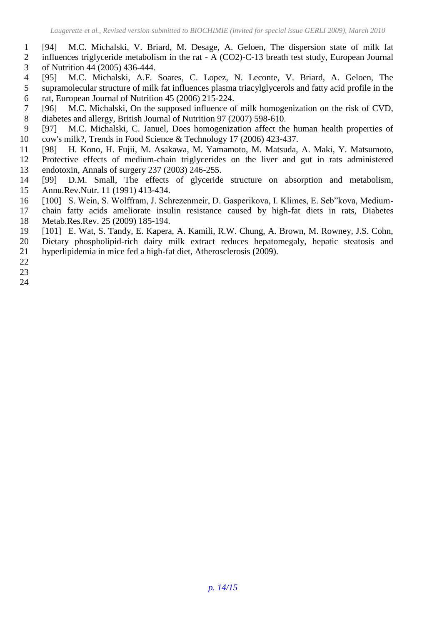- [94] M.C. Michalski, V. Briard, M. Desage, A. Geloen, The dispersion state of milk fat
- influences triglyceride metabolism in the rat A (CO2)-C-13 breath test study, European Journal
- <span id="page-14-0"></span>of Nutrition 44 (2005) 436-444.
- [95] M.C. Michalski, A.F. Soares, C. Lopez, N. Leconte, V. Briard, A. Geloen, The supramolecular structure of milk fat influences plasma triacylglycerols and fatty acid profile in the rat, European Journal of Nutrition 45 (2006) 215-224.
- [96] M.C. Michalski, On the supposed influence of milk homogenization on the risk of CVD, diabetes and allergy, British Journal of Nutrition 97 (2007) 598-610.
- [97] M.C. Michalski, C. Januel, Does homogenization affect the human health properties of cow's milk?, Trends in Food Science & Technology 17 (2006) 423-437.
- <span id="page-14-1"></span> [98] H. Kono, H. Fujii, M. Asakawa, M. Yamamoto, M. Matsuda, A. Maki, Y. Matsumoto, Protective effects of medium-chain triglycerides on the liver and gut in rats administered endotoxin, Annals of surgery 237 (2003) 246-255.
- [99] D.M. Small, The effects of glyceride structure on absorption and metabolism, Annu.Rev.Nutr. 11 (1991) 413-434.
- [100] S. Wein, S. Wolffram, J. Schrezenmeir, D. Gasperikova, I. Klimes, E. Seb"kova, Medium-
- chain fatty acids ameliorate insulin resistance caused by high-fat diets in rats, Diabetes
- Metab.Res.Rev. 25 (2009) 185-194.
- [101] E. Wat, S. Tandy, E. Kapera, A. Kamili, R.W. Chung, A. Brown, M. Rowney, J.S. Cohn,
- Dietary phospholipid-rich dairy milk extract reduces hepatomegaly, hepatic steatosis and
- hyperlipidemia in mice fed a high-fat diet, Atherosclerosis (2009).
- 
-